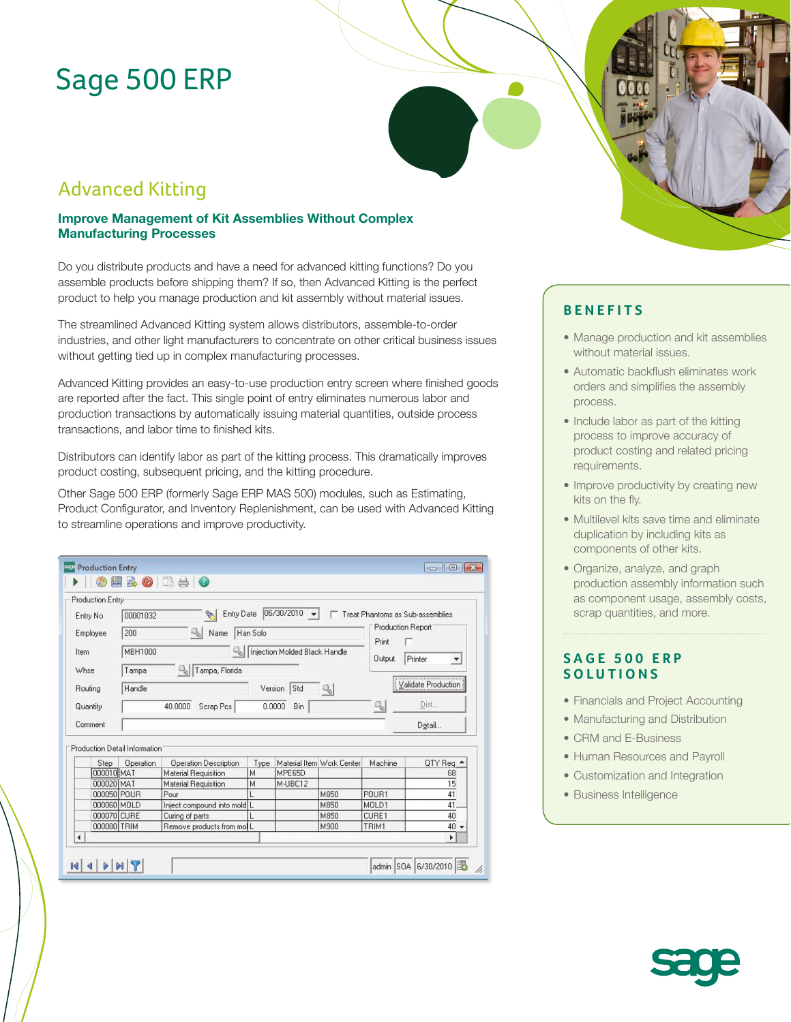# Sage 500 ERP

## Advanced Kitting

### **Improve Management of Kit Assemblies Without Complex Manufacturing Processes**

Do you distribute products and have a need for advanced kitting functions? Do you assemble products before shipping them? If so, then Advanced Kitting is the perfect product to help you manage production and kit assembly without material issues.

The streamlined Advanced Kitting system allows distributors, assemble-to-order industries, and other light manufacturers to concentrate on other critical business issues without getting tied up in complex manufacturing processes.

Advanced Kitting provides an easy-to-use production entry screen where finished goods are reported after the fact. This single point of entry eliminates numerous labor and production transactions by automatically issuing material quantities, outside process transactions, and labor time to finished kits.

Distributors can identify labor as part of the kitting process. This dramatically improves product costing, subsequent pricing, and the kitting procedure.

Other Sage 500 ERP (formerly Sage ERP MAS 500) modules, such as Estimating, Product Configurator, and Inventory Replenishment, can be used with Advanced Kitting to streamline operations and improve productivity.

|             | Production Entry                                                                                           |                             |      |         |                           |                                   |                     |
|-------------|------------------------------------------------------------------------------------------------------------|-----------------------------|------|---------|---------------------------|-----------------------------------|---------------------|
| Entry No.   | 06/30/2010<br>Entry Date<br>Treat Phantoms as Sub-assemblies<br>00001032<br>Q.<br>$\overline{\phantom{a}}$ |                             |      |         |                           |                                   |                     |
| Employee    | 91<br>200<br>Name<br>Han Solo                                                                              |                             |      |         |                           | <b>Production Report</b><br>Print |                     |
| Item        | Injection Molded Black Handle<br>MBH1000                                                                   |                             |      |         |                           | Output                            | Printer<br>▼        |
| Whse        | Tampa, Florida<br>Tampa                                                                                    |                             |      |         |                           |                                   |                     |
| Routing     | Std<br>Handle<br>91<br>Version                                                                             |                             |      |         |                           |                                   | Validate Production |
| Quantity    | q,<br>40.0000<br>Scrap Pcs<br>0.0000<br>Bin                                                                |                             |      |         |                           |                                   | Dist                |
| Comment     |                                                                                                            |                             |      |         |                           |                                   | Detail              |
|             |                                                                                                            |                             |      |         |                           |                                   |                     |
|             | Production Detail Information                                                                              |                             |      |         |                           |                                   |                     |
| Step        | Operation                                                                                                  | Operation Description       | Type |         | Material Item Work Center | Machine                           | QTY Req $\triangle$ |
| 000010 MAT  |                                                                                                            | Material Requisition        | M    | MPE65D  |                           |                                   | 68                  |
| 000020 MAT  |                                                                                                            | <b>Material Requisition</b> | М    | M-UBC12 |                           |                                   | 15                  |
| 000050 POUR |                                                                                                            | Pour                        |      |         | M850                      | POUR1                             | 41                  |
| 000060 MOLD |                                                                                                            | Inject compound into mold L |      |         | M850                      | MOLD1                             | 41                  |
| 000070 CURE |                                                                                                            | Curing of parts             |      |         | M850                      | CURE1                             | 40                  |
| 000080 TRIM |                                                                                                            | Remove products from moll   |      |         | M900                      | TRIM1                             | $40 -$              |



- Manage production and kit assemblies without material issues.
- Automatic backflush eliminates work orders and simplifies the assembly process.
- Include labor as part of the kitting process to improve accuracy of product costing and related pricing requirements.
- Improve productivity by creating new kits on the fly.
- Multilevel kits save time and eliminate duplication by including kits as components of other kits.
- Organize, analyze, and graph production assembly information such as component usage, assembly costs, scrap quantities, and more.

### **SAGE 500 ERP SOLUTIONS**

- Financials and Project Accounting
- Manufacturing and Distribution
- CRM and E-Business
- Human Resources and Payroll
- Customization and Integration
- Business Intelligence